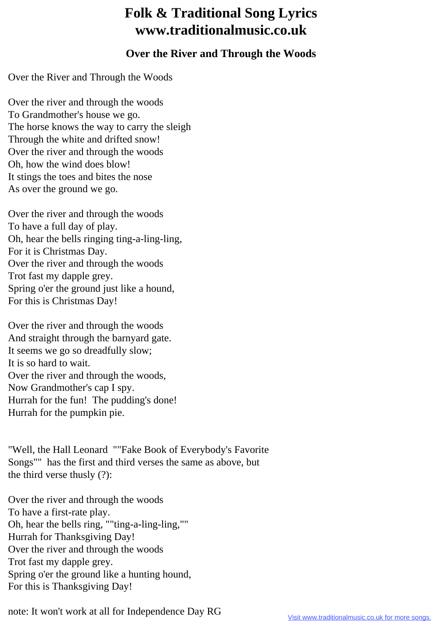## **Folk & Traditional Song Lyrics www.traditionalmusic.co.uk**

## **Over the River and Through the Woods**

Over the River and Through the Woods

Over the river and through the woods To Grandmother's house we go. The horse knows the way to carry the sleigh Through the white and drifted snow! Over the river and through the woods Oh, how the wind does blow! It stings the toes and bites the nose As over the ground we go.

Over the river and through the woods To have a full day of play. Oh, hear the bells ringing ting-a-ling-ling, For it is Christmas Day. Over the river and through the woods Trot fast my dapple grey. Spring o'er the ground just like a hound, For this is Christmas Day!

Over the river and through the woods And straight through the barnyard gate. It seems we go so dreadfully slow; It is so hard to wait. Over the river and through the woods, Now Grandmother's cap I spy. Hurrah for the fun! The pudding's done! Hurrah for the pumpkin pie.

"Well, the Hall Leonard ""Fake Book of Everybody's Favorite Songs"" has the first and third verses the same as above, but the third verse thusly (?):

Over the river and through the woods To have a first-rate play. Oh, hear the bells ring, ""ting-a-ling-ling,"" Hurrah for Thanksgiving Day! Over the river and through the woods Trot fast my dapple grey. Spring o'er the ground like a hunting hound, For this is Thanksgiving Day!

note: It won't work at all for Independence Day RG